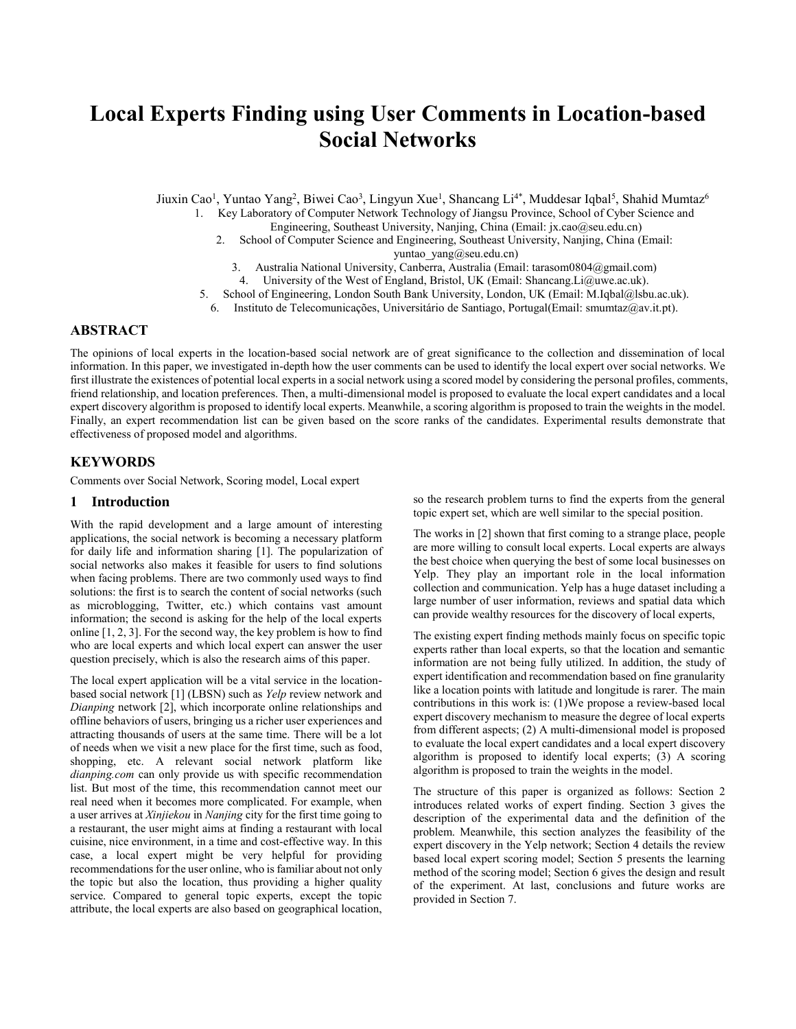# **Local Experts Finding using User Comments in Location-based Social Networks**

Jiuxin Cao<sup>1</sup>, Yuntao Yang<sup>2</sup>, Biwei Cao<sup>3</sup>, Lingyun Xue<sup>1</sup>, Shancang Li<sup>4\*</sup>, Muddesar Iqbal<sup>5</sup>, Shahid Mumtaz<sup>6</sup>

1. Key Laboratory of Computer Network Technology of Jiangsu Province, School of Cyber Science and

Engineering, Southeast University, Nanjing, China (Email: jx.cao@seu.edu.cn)

- 2. School of Computer Science and Engineering, Southeast University, Nanjing, China (Email: yuntao\_yang@seu.edu.cn)
	- 3. Australia National University, Canberra, Australia (Email: tarasom0804@gmail.com)
	- 4. University of the West of England, Bristol, UK (Email: Shancang.Li@uwe.ac.uk).
- 5. School of Engineering, London South Bank University, London, UK (Email: M.Iqbal@lsbu.ac.uk).
- 6. Instituto de Telecomunicações, Universitário de Santiago, Portugal(Email: smumtaz@av.it.pt).

## **ABSTRACT**

The opinions of local experts in the location-based social network are of great significance to the collection and dissemination of local information. In this paper, we investigated in-depth how the user comments can be used to identify the local expert over social networks. We first illustrate the existences of potential local experts in a social network using a scored model by considering the personal profiles, comments, friend relationship, and location preferences. Then, a multi-dimensional model is proposed to evaluate the local expert candidates and a local expert discovery algorithm is proposed to identify local experts. Meanwhile, a scoring algorithm is proposed to train the weights in the model. Finally, an expert recommendation list can be given based on the score ranks of the candidates. Experimental results demonstrate that effectiveness of proposed model and algorithms.

## **KEYWORDS**

Comments over Social Network, Scoring model, Local expert

## **1 Introduction**

With the rapid development and a large amount of interesting applications, the social network is becoming a necessary platform for daily life and information sharing [1]. The popularization of social networks also makes it feasible for users to find solutions when facing problems. There are two commonly used ways to find solutions: the first is to search the content of social networks (such as microblogging, Twitter, etc.) which contains vast amount information; the second is asking for the help of the local experts online [1, 2, 3]. For the second way, the key problem is how to find who are local experts and which local expert can answer the user question precisely, which is also the research aims of this paper.

The local expert application will be a vital service in the locationbased social network [1] (LBSN) such as *Yelp* review network and *Dianping* network [2], which incorporate online relationships and offline behaviors of users, bringing us a richer user experiences and attracting thousands of users at the same time. There will be a lot of needs when we visit a new place for the first time, such as food, shopping, etc. A relevant social network platform like *dianping.com* can only provide us with specific recommendation list. But most of the time, this recommendation cannot meet our real need when it becomes more complicated. For example, when a user arrives at *Xinjiekou* in *Nanjing* city for the first time going to a restaurant, the user might aims at finding a restaurant with local cuisine, nice environment, in a time and cost-effective way. In this case, a local expert might be very helpful for providing recommendations for the user online, who is familiar about not only the topic but also the location, thus providing a higher quality service. Compared to general topic experts, except the topic attribute, the local experts are also based on geographical location,

so the research problem turns to find the experts from the general topic expert set, which are well similar to the special position.

The works in [2] shown that first coming to a strange place, people are more willing to consult local experts. Local experts are always the best choice when querying the best of some local businesses on Yelp. They play an important role in the local information collection and communication. Yelp has a huge dataset including a large number of user information, reviews and spatial data which can provide wealthy resources for the discovery of local experts,

The existing expert finding methods mainly focus on specific topic experts rather than local experts, so that the location and semantic information are not being fully utilized. In addition, the study of expert identification and recommendation based on fine granularity like a location points with latitude and longitude is rarer. The main contributions in this work is: (1)We propose a review-based local expert discovery mechanism to measure the degree of local experts from different aspects; (2) A multi-dimensional model is proposed to evaluate the local expert candidates and a local expert discovery algorithm is proposed to identify local experts; (3) A scoring algorithm is proposed to train the weights in the model.

The structure of this paper is organized as follows: Section 2 introduces related works of expert finding. Section 3 gives the description of the experimental data and the definition of the problem. Meanwhile, this section analyzes the feasibility of the expert discovery in the Yelp network; Section 4 details the review based local expert scoring model; Section 5 presents the learning method of the scoring model; Section 6 gives the design and result of the experiment. At last, conclusions and future works are provided in Section 7.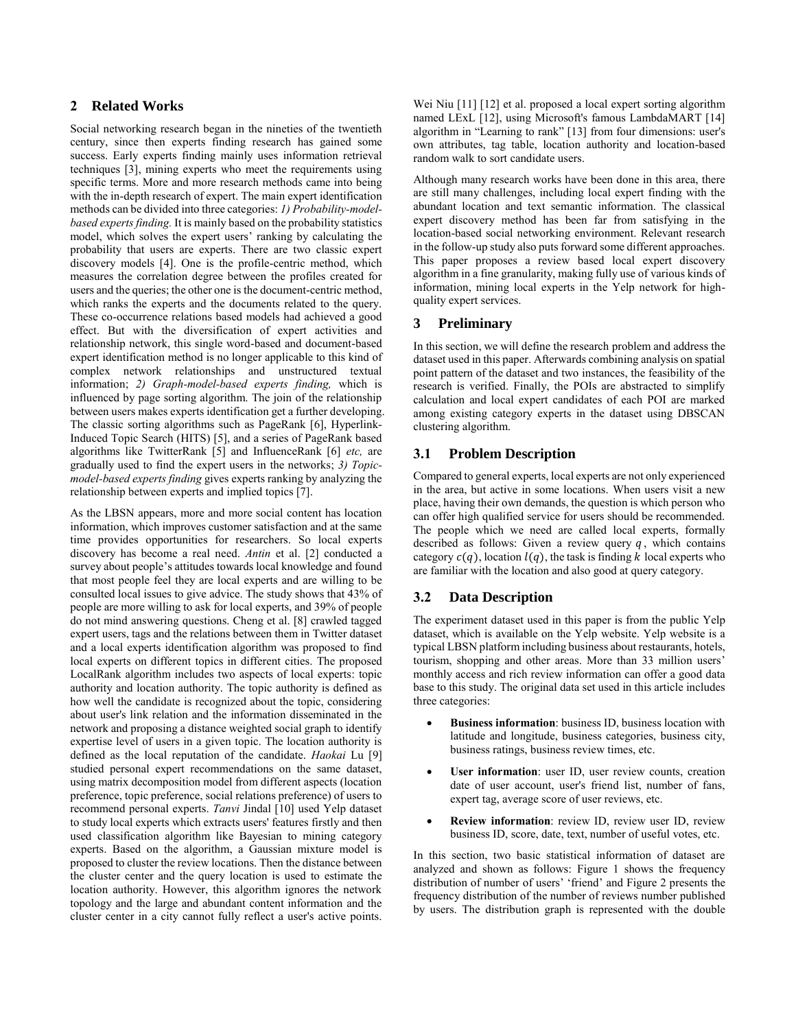## **2 Related Works**

Social networking research began in the nineties of the twentieth century, since then experts finding research has gained some success. Early experts finding mainly uses information retrieval techniques [3], mining experts who meet the requirements using specific terms. More and more research methods came into being with the in-depth research of expert. The main expert identification methods can be divided into three categories: *1) Probability-modelbased experts finding.* It is mainly based on the probability statistics model, which solves the expert users' ranking by calculating the probability that users are experts. There are two classic expert discovery models [4]. One is the profile-centric method, which measures the correlation degree between the profiles created for users and the queries; the other one is the document-centric method, which ranks the experts and the documents related to the query. These co-occurrence relations based models had achieved a good effect. But with the diversification of expert activities and relationship network, this single word-based and document-based expert identification method is no longer applicable to this kind of complex network relationships and unstructured textual information; *2) Graph-model-based experts finding,* which is influenced by page sorting algorithm. The join of the relationship between users makes experts identification get a further developing. The classic sorting algorithms such as PageRank [6], Hyperlink-Induced Topic Search (HITS) [5], and a series of PageRank based algorithms like TwitterRank [5] and InfluenceRank [6] *etc,* are gradually used to find the expert users in the networks; *3) Topicmodel-based experts finding* gives experts ranking by analyzing the relationship between experts and implied topics [7].

As the LBSN appears, more and more social content has location information, which improves customer satisfaction and at the same time provides opportunities for researchers. So local experts discovery has become a real need. *Antin* et al. [2] conducted a survey about people's attitudes towards local knowledge and found that most people feel they are local experts and are willing to be consulted local issues to give advice. The study shows that 43% of people are more willing to ask for local experts, and 39% of people do not mind answering questions. Cheng et al. [8] crawled tagged expert users, tags and the relations between them in Twitter dataset and a local experts identification algorithm was proposed to find local experts on different topics in different cities. The proposed LocalRank algorithm includes two aspects of local experts: topic authority and location authority. The topic authority is defined as how well the candidate is recognized about the topic, considering about user's link relation and the information disseminated in the network and proposing a distance weighted social graph to identify expertise level of users in a given topic. The location authority is defined as the local reputation of the candidate. *Haokai* Lu [9] studied personal expert recommendations on the same dataset, using matrix decomposition model from different aspects (location preference, topic preference, social relations preference) of users to recommend personal experts. *Tanvi* Jindal [10] used Yelp dataset to study local experts which extracts users' features firstly and then used classification algorithm like Bayesian to mining category experts. Based on the algorithm, a Gaussian mixture model is proposed to cluster the review locations. Then the distance between the cluster center and the query location is used to estimate the location authority. However, this algorithm ignores the network topology and the large and abundant content information and the cluster center in a city cannot fully reflect a user's active points.

Wei Niu [11] [12] et al. proposed a local expert sorting algorithm named LExL [12], using Microsoft's famous LambdaMART [14] algorithm in "Learning to rank" [13] from four dimensions: user's own attributes, tag table, location authority and location-based random walk to sort candidate users.

Although many research works have been done in this area, there are still many challenges, including local expert finding with the abundant location and text semantic information. The classical expert discovery method has been far from satisfying in the location-based social networking environment. Relevant research in the follow-up study also puts forward some different approaches. This paper proposes a review based local expert discovery algorithm in a fine granularity, making fully use of various kinds of information, mining local experts in the Yelp network for highquality expert services.

## **3 Preliminary**

In this section, we will define the research problem and address the dataset used in this paper. Afterwards combining analysis on spatial point pattern of the dataset and two instances, the feasibility of the research is verified. Finally, the POIs are abstracted to simplify calculation and local expert candidates of each POI are marked among existing category experts in the dataset using DBSCAN clustering algorithm.

## **3.1 Problem Description**

Compared to general experts, local experts are not only experienced in the area, but active in some locations. When users visit a new place, having their own demands, the question is which person who can offer high qualified service for users should be recommended. The people which we need are called local experts, formally described as follows: Given a review query  $q$ , which contains category  $c(q)$ , location  $l(q)$ , the task is finding k local experts who are familiar with the location and also good at query category.

# **3.2 Data Description**

The experiment dataset used in this paper is from the public Yelp dataset, which is available on the Yelp website. Yelp website is a typical LBSN platform including business about restaurants, hotels, tourism, shopping and other areas. More than 33 million users' monthly access and rich review information can offer a good data base to this study. The original data set used in this article includes three categories:

- **Business information**: business ID, business location with latitude and longitude, business categories, business city, business ratings, business review times, etc.
- User information: user ID, user review counts, creation date of user account, user's friend list, number of fans, expert tag, average score of user reviews, etc.
- **Review information**: review ID, review user ID, review business ID, score, date, text, number of useful votes, etc.

In this section, two basic statistical information of dataset are analyzed and shown as follows: Figure 1 shows the frequency distribution of number of users' 'friend' and Figure 2 presents the frequency distribution of the number of reviews number published by users. The distribution graph is represented with the double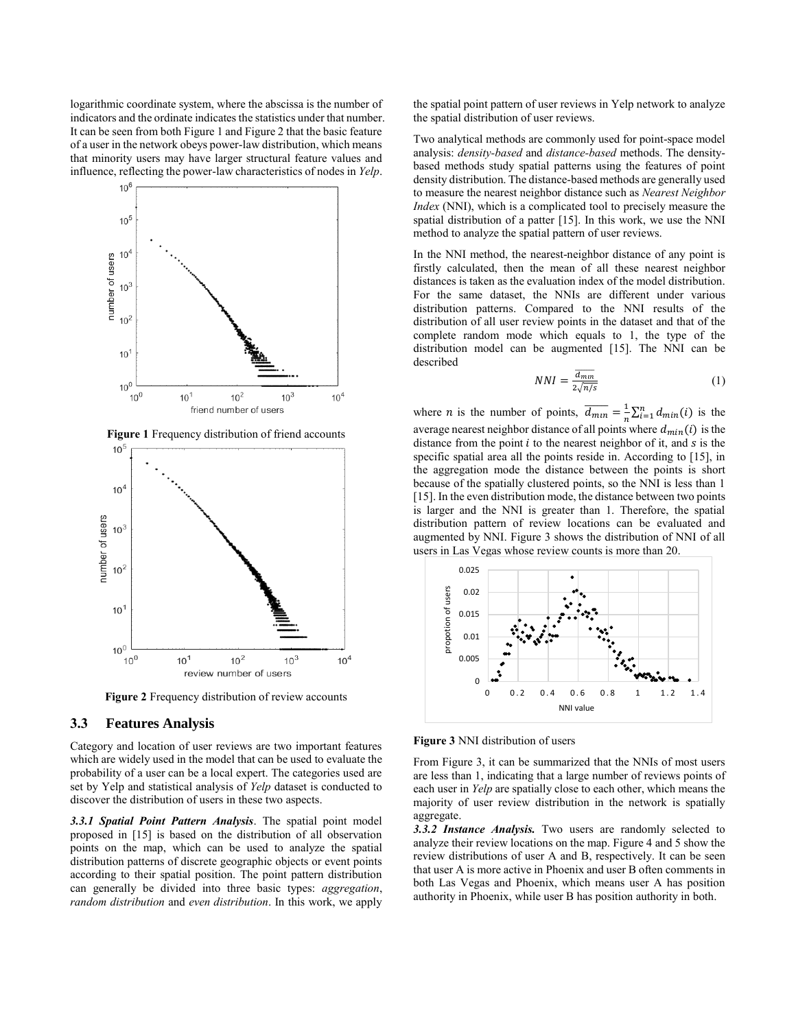logarithmic coordinate system, where the abscissa is the number of indicators and the ordinate indicates the statistics under that number. It can be seen from both Figure 1 and Figure 2 that the basic feature of a user in the network obeys power-law distribution, which means that minority users may have larger structural feature values and influence, reflecting the power-law characteristics of nodes in *Yelp*.



**Figure 1** Frequency distribution of friend accounts



**Figure 2** Frequency distribution of review accounts

#### **3.3 Features Analysis**

Category and location of user reviews are two important features which are widely used in the model that can be used to evaluate the probability of a user can be a local expert. The categories used are set by Yelp and statistical analysis of *Yelp* dataset is conducted to discover the distribution of users in these two aspects.

*3.3.1 Spatial Point Pattern Analysis*. The spatial point model proposed in [15] is based on the distribution of all observation points on the map, which can be used to analyze the spatial distribution patterns of discrete geographic objects or event points according to their spatial position. The point pattern distribution can generally be divided into three basic types: *aggregation*, *random distribution* and *even distribution*. In this work, we apply

the spatial point pattern of user reviews in Yelp network to analyze the spatial distribution of user reviews.

Two analytical methods are commonly used for point-space model analysis: *density-based* and *distance-based* methods. The densitybased methods study spatial patterns using the features of point density distribution. The distance-based methods are generally used to measure the nearest neighbor distance such as *Nearest Neighbor Index* (NNI), which is a complicated tool to precisely measure the spatial distribution of a patter [15]. In this work, we use the NNI method to analyze the spatial pattern of user reviews.

In the NNI method, the nearest-neighbor distance of any point is firstly calculated, then the mean of all these nearest neighbor distances is taken as the evaluation index of the model distribution. For the same dataset, the NNIs are different under various distribution patterns. Compared to the NNI results of the distribution of all user review points in the dataset and that of the complete random mode which equals to 1, the type of the distribution model can be augmented [15]. The NNI can be described

$$
NNI = \frac{\overline{d_{min}}}{2\sqrt{n/s}}\tag{1}
$$

where *n* is the number of points,  $\frac{d}{dm_{in}} = \frac{1}{n}$  $\frac{1}{n}\sum_{i=1}^{n} d_{min}(i)$  is the average nearest neighbor distance of all points where  $d_{min}(i)$  is the distance from the point  $i$  to the nearest neighbor of it, and  $s$  is the specific spatial area all the points reside in. According to [15], in the aggregation mode the distance between the points is short because of the spatially clustered points, so the NNI is less than 1 [15]. In the even distribution mode, the distance between two points is larger and the NNI is greater than 1. Therefore, the spatial distribution pattern of review locations can be evaluated and augmented by NNI. Figure 3 shows the distribution of NNI of all users in Las Vegas whose review counts is more than 20.



**Figure 3** NNI distribution of users

From Figure 3, it can be summarized that the NNIs of most users are less than 1, indicating that a large number of reviews points of each user in *Yelp* are spatially close to each other, which means the majority of user review distribution in the network is spatially aggregate.

*3.3.2 Instance Analysis.* Two users are randomly selected to analyze their review locations on the map. Figure 4 and 5 show the review distributions of user A and B, respectively. It can be seen that user A is more active in Phoenix and user B often comments in both Las Vegas and Phoenix, which means user A has position authority in Phoenix, while user B has position authority in both.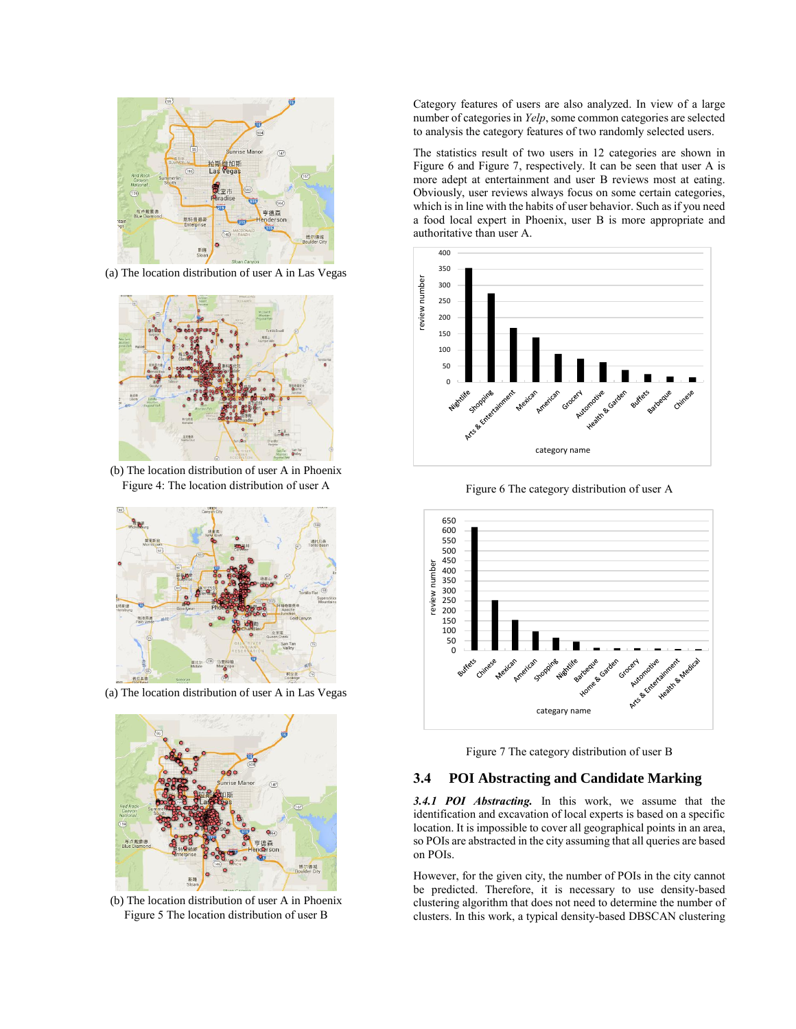

(a) The location distribution of user A in Las Vegas



(b) The location distribution of user A in Phoenix Figure 4: The location distribution of user A



(a) The location distribution of user A in Las Vegas



(b) The location distribution of user A in Phoenix Figure 5 The location distribution of user B

Category features of users are also analyzed. In view of a large number of categories in *Yelp*, some common categories are selected to analysis the category features of two randomly selected users.

The statistics result of two users in 12 categories are shown in Figure 6 and Figure 7, respectively. It can be seen that user A is more adept at entertainment and user B reviews most at eating. Obviously, user reviews always focus on some certain categories, which is in line with the habits of user behavior. Such as if you need a food local expert in Phoenix, user B is more appropriate and authoritative than user A.



Figure 6 The category distribution of user A



Figure 7 The category distribution of user B

## **3.4 POI Abstracting and Candidate Marking**

*3.4.1 POI Abstracting.* In this work, we assume that the identification and excavation of local experts is based on a specific location. It is impossible to cover all geographical points in an area, so POIs are abstracted in the city assuming that all queries are based on POIs.

However, for the given city, the number of POIs in the city cannot be predicted. Therefore, it is necessary to use density-based clustering algorithm that does not need to determine the number of clusters. In this work, a typical density-based DBSCAN clustering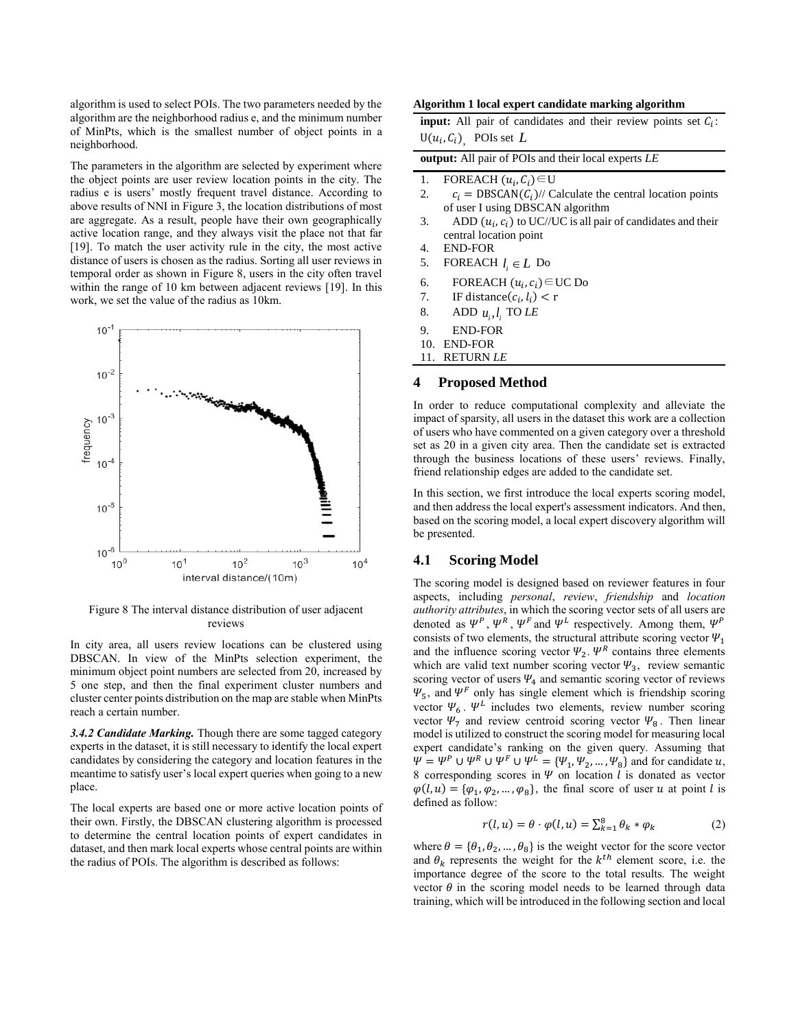algorithm is used to select POIs. The two parameters needed by the algorithm are the neighborhood radius e, and the minimum number of MinPts, which is the smallest number of object points in a neighborhood.

The parameters in the algorithm are selected by experiment where the object points are user review location points in the city. The radius e is users' mostly frequent travel distance. According to above results of NNI in Figure 3, the location distributions of most are aggregate. As a result, people have their own geographically active location range, and they always visit the place not that far [19]. To match the user activity rule in the city, the most active distance of users is chosen as the radius. Sorting all user reviews in temporal order as shown in Figure 8, users in the city often travel within the range of 10 km between adjacent reviews [19]. In this work, we set the value of the radius as 10km.



Figure 8 The interval distance distribution of user adjacent reviews

In city area, all users review locations can be clustered using DBSCAN. In view of the MinPts selection experiment, the minimum object point numbers are selected from 20, increased by 5 one step, and then the final experiment cluster numbers and cluster center points distribution on the map are stable when MinPts reach a certain number.

*3.4.2 Candidate Marking.* Though there are some tagged category experts in the dataset, it is still necessary to identify the local expert candidates by considering the category and location features in the meantime to satisfy user's local expert queries when going to a new place.

The local experts are based one or more active location points of their own. Firstly, the DBSCAN clustering algorithm is processed to determine the central location points of expert candidates in dataset, and then mark local experts whose central points are within the radius of POIs. The algorithm is described as follows:

#### **Algorithm 1 local expert candidate marking algorithm**

**input:** All pair of candidates and their review points set  $C_i$ :  $U(u_i, C_i)$ , POIs set L

| output: All pair of POIs and their local experts LE |  |  |  |  |  |  |
|-----------------------------------------------------|--|--|--|--|--|--|
|-----------------------------------------------------|--|--|--|--|--|--|

- 1. FOREACH  $(u_i, C_i) \in U$
- 2.  $c_i = \text{DBSCAN}(C_i)$ // Calculate the central location points of user I using DBSCAN algorithm
- 3. ADD  $(u_i, c_i)$  to UC//UC is all pair of candidates and their central location point
- 4. END-FOR
- 5. FOREACH  $l_i \in L$  Do
- 6. FOREACH  $(u_i, c_i) \in UC$  Do
- 7. IF distance  $(c_i, l_i) < r$
- 8. ADD  $u_i, l_i$  TO *LE*
- 9. END-FOR
- 10. END-FOR
- 11. RETURN *LE*

#### **4 Proposed Method**

In order to reduce computational complexity and alleviate the impact of sparsity, all users in the dataset this work are a collection of users who have commented on a given category over a threshold set as 20 in a given city area. Then the candidate set is extracted through the business locations of these users' reviews. Finally, friend relationship edges are added to the candidate set.

In this section, we first introduce the local experts scoring model, and then address the local expert's assessment indicators. And then, based on the scoring model, a local expert discovery algorithm will be presented.

## **4.1 Scoring Model**

The scoring model is designed based on reviewer features in four aspects, including *personal*, *review*, *friendship* and *location authority attributes*, in which the scoring vector sets of all users are denoted as  $\Psi^P$ ,  $\Psi^R$ ,  $\Psi^F$  and  $\Psi^L$  respectively. Among them,  $\Psi^P$ consists of two elements, the structural attribute scoring vector  $\Psi_1$ and the influence scoring vector  $\Psi_2$ .  $\Psi^R$  contains three elements which are valid text number scoring vector  $\Psi_3$ , review semantic scoring vector of users  $\Psi_4$  and semantic scoring vector of reviews  $\Psi_5$ , and  $\Psi^F$  only has single element which is friendship scoring vector  $\Psi_6$ .  $\Psi^L$  includes two elements, review number scoring vector  $\Psi$ <sub>7</sub> and review centroid scoring vector  $\Psi$ <sub>8</sub>. Then linear model is utilized to construct the scoring model for measuring local expert candidate's ranking on the given query. Assuming that  $\Psi = \Psi^P \cup \Psi^R \cup \Psi^F \cup \Psi^L = {\Psi_1, \Psi_2, ..., \Psi_8}$  and for candidate u, 8 corresponding scores in  $\Psi$  on location l is donated as vector  $\varphi(l, u) = {\varphi_1, \varphi_2, ..., \varphi_8}$ , the final score of user u at point l is defined as follow:

$$
r(l, u) = \theta \cdot \varphi(l, u) = \sum_{k=1}^{8} \theta_k * \varphi_k \tag{2}
$$

where  $\theta = {\theta_1, \theta_2, ..., \theta_8}$  is the weight vector for the score vector and  $\theta_k$  represents the weight for the  $k^{th}$  element score, i.e. the importance degree of the score to the total results. The weight vector  $\theta$  in the scoring model needs to be learned through data training, which will be introduced in the following section and local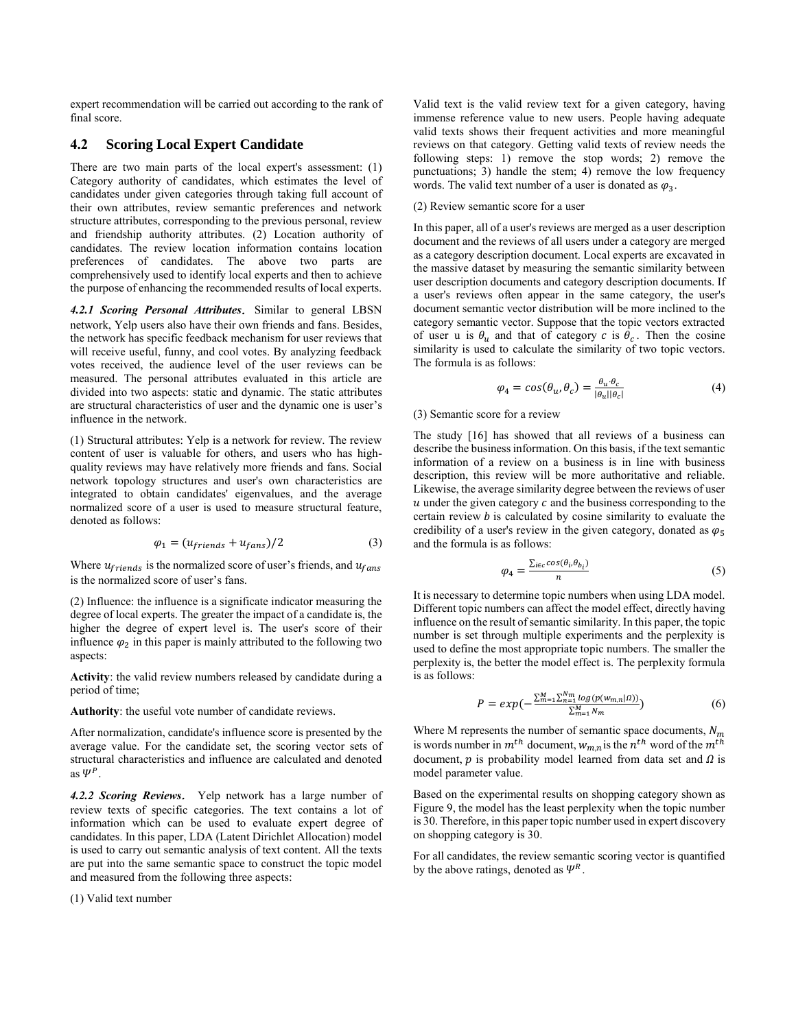expert recommendation will be carried out according to the rank of final score.

## **4.2 Scoring Local Expert Candidate**

There are two main parts of the local expert's assessment: (1) Category authority of candidates, which estimates the level of candidates under given categories through taking full account of their own attributes, review semantic preferences and network structure attributes, corresponding to the previous personal, review and friendship authority attributes. (2) Location authority of candidates. The review location information contains location preferences of candidates. The above two parts are comprehensively used to identify local experts and then to achieve the purpose of enhancing the recommended results of local experts.

*4.2.1 Scoring Personal Attributes*. Similar to general LBSN network, Yelp users also have their own friends and fans. Besides, the network has specific feedback mechanism for user reviews that will receive useful, funny, and cool votes. By analyzing feedback votes received, the audience level of the user reviews can be measured. The personal attributes evaluated in this article are divided into two aspects: static and dynamic. The static attributes are structural characteristics of user and the dynamic one is user's influence in the network.

(1) Structural attributes: Yelp is a network for review. The review content of user is valuable for others, and users who has highquality reviews may have relatively more friends and fans. Social network topology structures and user's own characteristics are integrated to obtain candidates' eigenvalues, and the average normalized score of a user is used to measure structural feature, denoted as follows:

$$
\varphi_1 = (u_{friends} + u_{fans})/2 \tag{3}
$$

Where  $u_{friends}$  is the normalized score of user's friends, and  $u_{fans}$ is the normalized score of user's fans.

(2) Influence: the influence is a significate indicator measuring the degree of local experts. The greater the impact of a candidate is, the higher the degree of expert level is. The user's score of their influence  $\varphi_2$  in this paper is mainly attributed to the following two aspects:

**Activity**: the valid review numbers released by candidate during a period of time;

**Authority**: the useful vote number of candidate reviews.

After normalization, candidate's influence score is presented by the average value. For the candidate set, the scoring vector sets of structural characteristics and influence are calculated and denoted as  $\Psi^P$ .

*4.2.2 Scoring Reviews*. Yelp network has a large number of review texts of specific categories. The text contains a lot of information which can be used to evaluate expert degree of candidates. In this paper, LDA (Latent Dirichlet Allocation) model is used to carry out semantic analysis of text content. All the texts are put into the same semantic space to construct the topic model and measured from the following three aspects:

(1) Valid text number

Valid text is the valid review text for a given category, having immense reference value to new users. People having adequate valid texts shows their frequent activities and more meaningful reviews on that category. Getting valid texts of review needs the following steps: 1) remove the stop words; 2) remove the punctuations; 3) handle the stem; 4) remove the low frequency words. The valid text number of a user is donated as  $\varphi_3$ .

#### (2) Review semantic score for a user

In this paper, all of a user's reviews are merged as a user description document and the reviews of all users under a category are merged as a category description document. Local experts are excavated in the massive dataset by measuring the semantic similarity between user description documents and category description documents. If a user's reviews often appear in the same category, the user's document semantic vector distribution will be more inclined to the category semantic vector. Suppose that the topic vectors extracted of user u is  $\theta_u$  and that of category c is  $\theta_c$ . Then the cosine similarity is used to calculate the similarity of two topic vectors. The formula is as follows:

$$
\varphi_4 = \cos(\theta_u, \theta_c) = \frac{\theta_u \cdot \theta_c}{|\theta_u||\theta_c|} \tag{4}
$$

#### (3) Semantic score for a review

The study [16] has showed that all reviews of a business can describe the business information. On this basis, if the text semantic information of a review on a business is in line with business description, this review will be more authoritative and reliable. Likewise, the average similarity degree between the reviews of user  $u$  under the given category  $c$  and the business corresponding to the certain review  $b$  is calculated by cosine similarity to evaluate the credibility of a user's review in the given category, donated as  $\varphi_5$ and the formula is as follows:

$$
\varphi_4 = \frac{\sum_{i \in c} \cos(\theta_i, \theta_{b_i})}{n} \tag{5}
$$

It is necessary to determine topic numbers when using LDA model. Different topic numbers can affect the model effect, directly having influence on the result of semantic similarity. In this paper, the topic number is set through multiple experiments and the perplexity is used to define the most appropriate topic numbers. The smaller the perplexity is, the better the model effect is. The perplexity formula is as follows:

$$
P = exp(-\frac{\sum_{m=1}^{M} \sum_{n=1}^{N} log(p(w_{m,n}|a))}{\sum_{m=1}^{M} N_m})
$$
(6)

Where M represents the number of semantic space documents,  $N_m$ is words number in  $m^{th}$  document,  $w_{m,n}$  is the  $n^{th}$  word of the  $m^{th}$ document,  $p$  is probability model learned from data set and  $\Omega$  is model parameter value.

Based on the experimental results on shopping category shown as Figure 9, the model has the least perplexity when the topic number is 30. Therefore, in this paper topic number used in expert discovery on shopping category is 30.

For all candidates, the review semantic scoring vector is quantified by the above ratings, denoted as  $\Psi^R$ .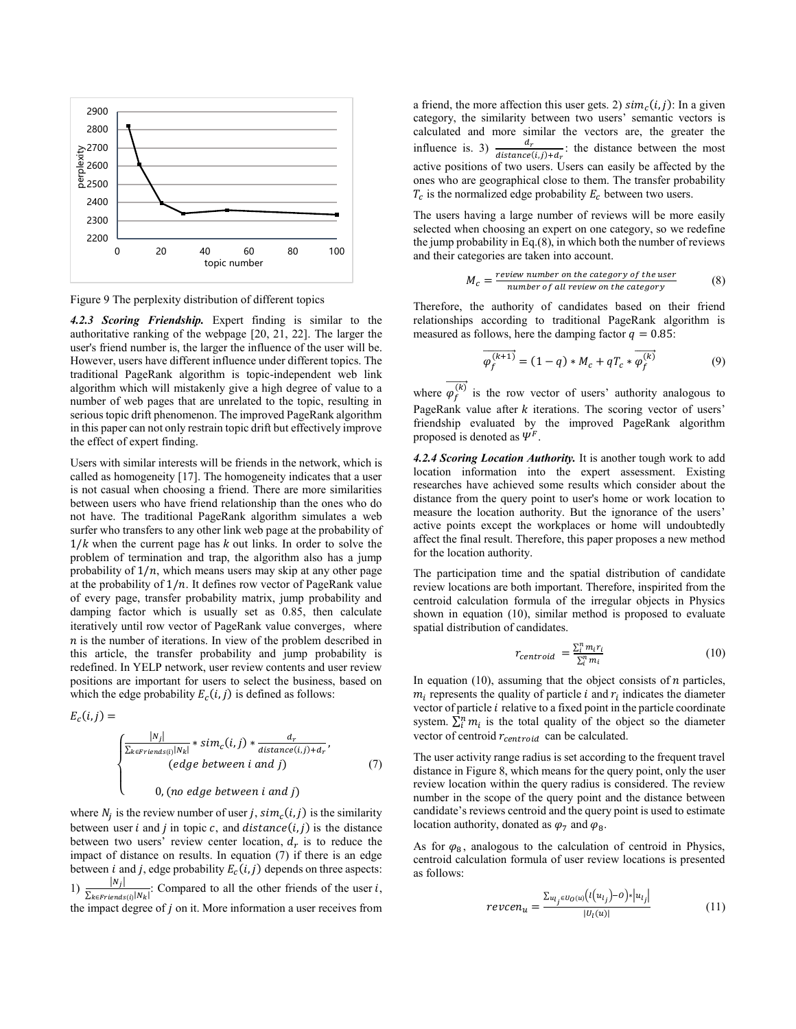

Figure 9 The perplexity distribution of different topics

*4.2.3 Scoring Friendship.* Expert finding is similar to the authoritative ranking of the webpage [20, 21, 22]. The larger the user's friend number is, the larger the influence of the user will be. However, users have different influence under different topics. The traditional PageRank algorithm is topic-independent web link algorithm which will mistakenly give a high degree of value to a number of web pages that are unrelated to the topic, resulting in serious topic drift phenomenon. The improved PageRank algorithm in this paper can not only restrain topic drift but effectively improve the effect of expert finding.

Users with similar interests will be friends in the network, which is called as homogeneity [17]. The homogeneity indicates that a user is not casual when choosing a friend. There are more similarities between users who have friend relationship than the ones who do not have. The traditional PageRank algorithm simulates a web surfer who transfers to any other link web page at the probability of  $1/k$  when the current page has  $k$  out links. In order to solve the problem of termination and trap, the algorithm also has a jump probability of  $1/n$ , which means users may skip at any other page at the probability of  $1/n$ . It defines row vector of PageRank value of every page, transfer probability matrix, jump probability and damping factor which is usually set as 0.85, then calculate iteratively until row vector of PageRank value converges, where  $n$  is the number of iterations. In view of the problem described in this article, the transfer probability and jump probability is redefined. In YELP network, user review contents and user review positions are important for users to select the business, based on which the edge probability  $E_c(i, j)$  is defined as follows:

$$
E_c(i,j) =
$$

$$
\begin{cases}\n\frac{|N_j|}{\sum_{k \in \text{Friends}(i)} |N_k|} * sim_c(i,j) * \frac{d_r}{distance(i,j) + d_r},\\ \n\text{(edge between i and j)}\\ \n0, (no edge between i and j)\n\end{cases} \tag{7}
$$

where  $N_j$  is the review number of user j,  $sim_c(i, j)$  is the similarity between user  $i$  and  $j$  in topic  $c$ , and  $distance(i, j)$  is the distance between two users' review center location,  $d_r$  is to reduce the impact of distance on results. In equation (7) if there is an edge between *i* and *j*, edge probability  $E_c(i, j)$  depends on three aspects: 1)  $\frac{|N_j|}{\sum_{i=1}^{n} |N_j|}$  $\frac{|Nf|}{\sum_{k \in Friedman(S(i)|N_k|)}$ : Compared to all the other friends of the user *i*, the impact degree of  $j$  on it. More information a user receives from

a friend, the more affection this user gets. 2)  $sim_c(i, j)$ : In a given category, the similarity between two users' semantic vectors is calculated and more similar the vectors are, the greater the influence is. 3)  $\frac{d_r}{distance(i,j)+d_r}$ : the distance between the most active positions of two users. Users can easily be affected by the ones who are geographical close to them. The transfer probability  $T_c$  is the normalized edge probability  $E_c$  between two users.

The users having a large number of reviews will be more easily selected when choosing an expert on one category, so we redefine the jump probability in Eq.(8), in which both the number of reviews and their categories are taken into account.

$$
M_c = \frac{review \ number \ on \ the \ category \ of \ the \ user}{number \ of \ all \ review \ on \ the \ category} \tag{8}
$$

Therefore, the authority of candidates based on their friend relationships according to traditional PageRank algorithm is measured as follows, here the damping factor  $q = 0.85$ :

$$
\overrightarrow{\varphi_f^{(k+1)}} = (1 - q) * M_c + qT_c * \overrightarrow{\varphi_f^{(k)}}
$$
\n(9)

where  $\overline{\varphi_f^{(k)}}$  is the row vector of users' authority analogous to PageRank value after  $k$  iterations. The scoring vector of users' friendship evaluated by the improved PageRank algorithm proposed is denoted as  $\Psi^F$ .

*4.2.4 Scoring Location Authority.* It is another tough work to add location information into the expert assessment. Existing researches have achieved some results which consider about the distance from the query point to user's home or work location to measure the location authority. But the ignorance of the users' active points except the workplaces or home will undoubtedly affect the final result. Therefore, this paper proposes a new method for the location authority.

The participation time and the spatial distribution of candidate review locations are both important. Therefore, inspirited from the centroid calculation formula of the irregular objects in Physics shown in equation (10), similar method is proposed to evaluate spatial distribution of candidates.

$$
r_{centroid} = \frac{\sum_{i}^{n} m_i r_i}{\sum_{i}^{n} m_i}
$$
 (10)

In equation (10), assuming that the object consists of  $n$  particles,  $m_i$  represents the quality of particle i and  $r_i$  indicates the diameter vector of particle  $i$  relative to a fixed point in the particle coordinate system.  $\sum_{i=1}^{n} m_i$  is the total quality of the object so the diameter vector of centroid  $r_{centroid}$  can be calculated.

The user activity range radius is set according to the frequent travel distance in Figure 8, which means for the query point, only the user review location within the query radius is considered. The review number in the scope of the query point and the distance between candidate's reviews centroid and the query point is used to estimate location authority, donated as  $\varphi_7$  and  $\varphi_8$ .

As for  $\varphi_8$ , analogous to the calculation of centroid in Physics, centroid calculation formula of user review locations is presented as follows:

$$
reveen_u = \frac{\sum_{u_{ij} \in U_O(u)} (l(u_{ij}) - 0) * |u_{ij}|}{|U_l(u)|}
$$
(11)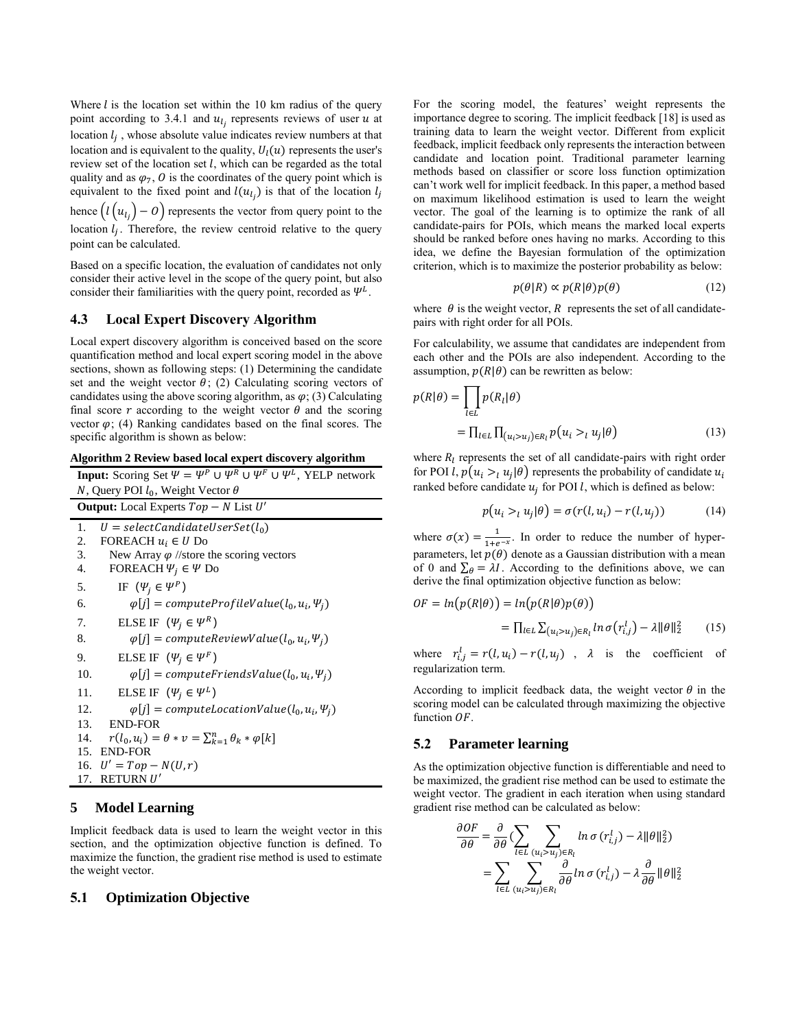Where  $l$  is the location set within the 10 km radius of the query point according to 3.4.1 and  $u_{l_j}$  represents reviews of user  $u$  at location  $l_j$ , whose absolute value indicates review numbers at that location and is equivalent to the quality,  $U_l(u)$  represents the user's review set of the location set  $l$ , which can be regarded as the total quality and as  $\varphi_7$ , O is the coordinates of the query point which is equivalent to the fixed point and  $l(u_{l_j})$  is that of the location  $l_j$ hence  $(l(u_{l_j})-0)$  represents the vector from query point to the

location  $l_j$ . Therefore, the review centroid relative to the query point can be calculated.

Based on a specific location, the evaluation of candidates not only consider their active level in the scope of the query point, but also consider their familiarities with the query point, recorded as  $\Psi^L$ .

## **4.3 Local Expert Discovery Algorithm**

Local expert discovery algorithm is conceived based on the score quantification method and local expert scoring model in the above sections, shown as following steps: (1) Determining the candidate set and the weight vector  $\theta$ ; (2) Calculating scoring vectors of candidates using the above scoring algorithm, as  $\varphi$ ; (3) Calculating final score  $r$  according to the weight vector  $\theta$  and the scoring vector  $\varphi$ ; (4) Ranking candidates based on the final scores. The specific algorithm is shown as below:

|  |  |  | Algorithm 2 Review based local expert discovery algorithm |
|--|--|--|-----------------------------------------------------------|
|  |  |  |                                                           |

| <b>Input:</b> Scoring Set $\Psi = \Psi^P \cup \Psi^R \cup \Psi^F \cup \Psi^L$ , YELP network |  |  |  |  |
|----------------------------------------------------------------------------------------------|--|--|--|--|
| N, Query POI $l_0$ , Weight Vector $\theta$                                                  |  |  |  |  |
| <b>Output:</b> Local Experts $Top - N$ List $U'$                                             |  |  |  |  |
| 1.<br>$U = selectCandidateUserSet(l_0)$                                                      |  |  |  |  |
| FOREACH $u_i \in U$ Do<br>2.                                                                 |  |  |  |  |
| 3.<br>New Array $\varphi$ //store the scoring vectors                                        |  |  |  |  |
| FOREACH $\Psi_i \in \Psi$ Do<br>4.                                                           |  |  |  |  |
| IF $(\Psi_i \in \Psi^P)$<br>5.                                                               |  |  |  |  |
| $\varphi[j]$ = computeProfileValue(l <sub>0</sub> , u <sub>i</sub> , $\Psi_j$ )<br>6.        |  |  |  |  |
| ELSE IF $(\Psi_i \in \Psi^R)$<br>7.                                                          |  |  |  |  |
| 8.<br>$\varphi[j]$ = computeReviewValue(l <sub>0</sub> , u <sub>i</sub> , $\Psi_j$ )         |  |  |  |  |
| ELSE IF $(\Psi_i \in \Psi^F)$<br>9.                                                          |  |  |  |  |
| 10.<br>$\varphi[j]$ = computeFriendsValue(l <sub>0</sub> , u <sub>i</sub> , $\Psi_i$ )       |  |  |  |  |
| ELSE IF $(\Psi_i \in \Psi^L)$<br>11.                                                         |  |  |  |  |
| $\varphi[i]$ = computeLocationValue( $l_0, u_i, \Psi_j$ )<br>12.                             |  |  |  |  |
| 13.<br>END-FOR                                                                               |  |  |  |  |
| $r(l_0, u_i) = \theta * v = \sum_{k=1}^n \theta_k * \varphi[k]$<br>14.                       |  |  |  |  |
| 15. END-FOR                                                                                  |  |  |  |  |
| 16. $U' = Top - N(U, r)$                                                                     |  |  |  |  |
| <b>RETURN U'</b><br>17.                                                                      |  |  |  |  |

## **5 Model Learning**

Implicit feedback data is used to learn the weight vector in this section, and the optimization objective function is defined. To maximize the function, the gradient rise method is used to estimate the weight vector.

## **5.1 Optimization Objective**

For the scoring model, the features' weight represents the importance degree to scoring. The implicit feedback [18] is used as training data to learn the weight vector. Different from explicit feedback, implicit feedback only represents the interaction between candidate and location point. Traditional parameter learning methods based on classifier or score loss function optimization can't work well for implicit feedback. In this paper, a method based on maximum likelihood estimation is used to learn the weight vector. The goal of the learning is to optimize the rank of all candidate-pairs for POIs, which means the marked local experts should be ranked before ones having no marks. According to this idea, we define the Bayesian formulation of the optimization criterion, which is to maximize the posterior probability as below:

$$
p(\theta|R) \propto p(R|\theta)p(\theta) \tag{12}
$$

where  $\theta$  is the weight vector, R represents the set of all candidatepairs with right order for all POIs.

For calculability, we assume that candidates are independent from each other and the POIs are also independent. According to the assumption,  $p(R|\theta)$  can be rewritten as below:

$$
p(R|\theta) = \prod_{l \in L} p(R_l|\theta)
$$
  
= 
$$
\prod_{l \in L} \prod_{(u_i > u_j) \in R_l} p(u_i >_l u_j|\theta)
$$
 (13)

where  $R_l$  represents the set of all candidate-pairs with right order for POI *l*,  $p(u_i >_l u_j | \theta)$  represents the probability of candidate  $u_i$ ranked before candidate  $u_j$  for POI l, which is defined as below:

$$
p(u_i >_l u_j | \theta) = \sigma(r(l, u_i) - r(l, u_j)) \tag{14}
$$

where  $\sigma(x) = \frac{1}{1+x^2}$  $\frac{1}{1+e^{-x}}$ . In order to reduce the number of hyperparameters, let  $p(\theta)$  denote as a Gaussian distribution with a mean of 0 and  $\Sigma_{\theta} = \lambda I$ . According to the definitions above, we can derive the final optimization objective function as below:

$$
OF = ln(p(R|\theta)) = ln(p(R|\theta)p(\theta))
$$
  
= 
$$
\prod_{l \in L} \sum_{(u_i > u_j) \in R_l} ln \sigma(r_{i,j}^l) - \lambda ||\theta||_2^2
$$
 (15)

where  $r_{i,j}^l = r(l, u_i) - r(l, u_j)$ ,  $\lambda$  is the coefficient of regularization term.

According to implicit feedback data, the weight vector  $\theta$  in the scoring model can be calculated through maximizing the objective function  $OF$ .

#### **5.2 Parameter learning**

As the optimization objective function is differentiable and need to be maximized, the gradient rise method can be used to estimate the weight vector. The gradient in each iteration when using standard gradient rise method can be calculated as below:

$$
\frac{\partial OF}{\partial \theta} = \frac{\partial}{\partial \theta} \left( \sum_{l \in L} \sum_{(u_i > u_j) \in R_l} \ln \sigma \left( r_{i,j}^l \right) - \lambda ||\theta||_2^2 \right)
$$
\n
$$
= \sum_{l \in L} \sum_{(u_i > u_j) \in R_l} \frac{\partial}{\partial \theta} \ln \sigma \left( r_{i,j}^l \right) - \lambda \frac{\partial}{\partial \theta} ||\theta||_2^2
$$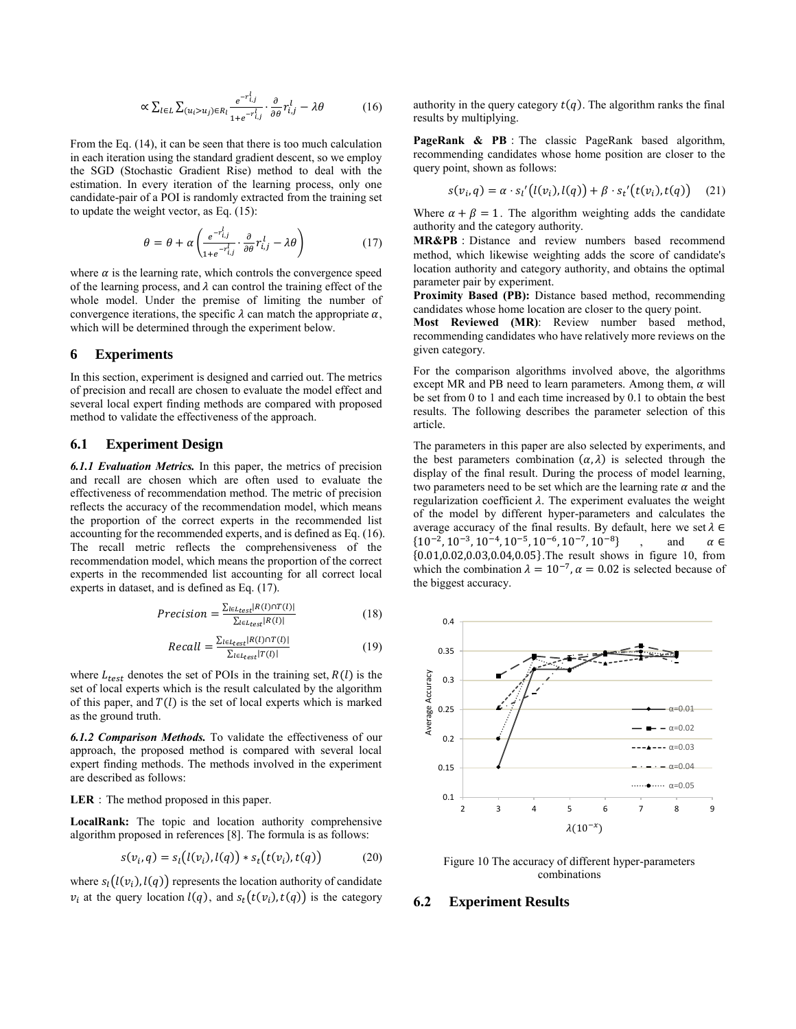$$
\propto \sum_{l \in L} \sum_{(u_i > u_j) \in R_l} \frac{e^{-r_{i,j}^l}}{1 + e^{-r_{i,j}^l}} \cdot \frac{\partial}{\partial \theta} r_{i,j}^l - \lambda \theta \tag{16}
$$

From the Eq. (14), it can be seen that there is too much calculation in each iteration using the standard gradient descent, so we employ the SGD (Stochastic Gradient Rise) method to deal with the estimation. In every iteration of the learning process, only one candidate-pair of a POI is randomly extracted from the training set to update the weight vector, as Eq. (15):

$$
\theta = \theta + \alpha \left( \frac{e^{-r_{i,j}^l}}{1 + e^{-r_{i,j}^l}} \cdot \frac{\partial}{\partial \theta} r_{i,j}^l - \lambda \theta \right) \tag{17}
$$

where  $\alpha$  is the learning rate, which controls the convergence speed of the learning process, and  $\lambda$  can control the training effect of the whole model. Under the premise of limiting the number of convergence iterations, the specific  $\lambda$  can match the appropriate  $\alpha$ , which will be determined through the experiment below.

#### **6 Experiments**

In this section, experiment is designed and carried out. The metrics of precision and recall are chosen to evaluate the model effect and several local expert finding methods are compared with proposed method to validate the effectiveness of the approach.

#### **6.1 Experiment Design**

*6.1.1 Evaluation Metrics.* In this paper, the metrics of precision and recall are chosen which are often used to evaluate the effectiveness of recommendation method. The metric of precision reflects the accuracy of the recommendation model, which means the proportion of the correct experts in the recommended list accounting for the recommended experts, and is defined as Eq. (16). The recall metric reflects the comprehensiveness of the recommendation model, which means the proportion of the correct experts in the recommended list accounting for all correct local experts in dataset, and is defined as Eq. (17).

$$
Precision = \frac{\sum_{l \in L_{test}} |R(l) \cap T(l)|}{\sum_{l \in L_{test}} |R(l)|}
$$
(18)

$$
Recall = \frac{\sum_{l \in L_{test}} |R(l) \cap T(l)|}{\sum_{l \in L_{test}} |T(l)|}
$$
(19)

where  $L_{test}$  denotes the set of POIs in the training set,  $R(l)$  is the set of local experts which is the result calculated by the algorithm of this paper, and  $T(l)$  is the set of local experts which is marked as the ground truth.

*6.1.2 Comparison Methods.* To validate the effectiveness of our approach, the proposed method is compared with several local expert finding methods. The methods involved in the experiment are described as follows:

**LER**: The method proposed in this paper.

**LocalRank:** The topic and location authority comprehensive algorithm proposed in references [8]. The formula is as follows:

$$
s(v_i, q) = s_i(l(v_i), l(q)) * s_t(t(v_i), t(q))
$$
\n<sup>(20)</sup>

where  $s_l(l(v_i), l(q))$  represents the location authority of candidate  $v_i$  at the query location  $l(q)$ , and  $s_t(t(v_i), t(q))$  is the category authority in the query category  $t(q)$ . The algorithm ranks the final results by multiplying.

**PageRank & PB**:The classic PageRank based algorithm, recommending candidates whose home position are closer to the query point, shown as follows:

$$
s(v_i, q) = \alpha \cdot s_l' (l(v_i), l(q)) + \beta \cdot s_t' (t(v_i), t(q)) \quad (21)
$$

Where  $\alpha + \beta = 1$ . The algorithm weighting adds the candidate authority and the category authority.

**MR&PB**:Distance and review numbers based recommend method, which likewise weighting adds the score of candidate's location authority and category authority, and obtains the optimal parameter pair by experiment.

**Proximity Based (PB):** Distance based method, recommending candidates whose home location are closer to the query point.

**Most Reviewed (MR)**: Review number based method, recommending candidates who have relatively more reviews on the given category.

For the comparison algorithms involved above, the algorithms except MR and PB need to learn parameters. Among them,  $\alpha$  will be set from 0 to 1 and each time increased by 0.1 to obtain the best results. The following describes the parameter selection of this article.

The parameters in this paper are also selected by experiments, and the best parameters combination  $(\alpha, \lambda)$  is selected through the display of the final result. During the process of model learning, two parameters need to be set which are the learning rate  $\alpha$  and the regularization coefficient  $\lambda$ . The experiment evaluates the weight of the model by different hyper-parameters and calculates the average accuracy of the final results. By default, here we set  $\lambda \in$  $\{10^{-2}, 10^{-3}, 10^{-4}, 10^{-5}, 10^{-6}, 10^{-7}, 10\}$ and  $\alpha \in$ {0.01,0.02,0.03,0.04,0.05} .The result shows in figure 10, from which the combination  $\lambda = 10^{-7}$ ,  $\alpha = 0.02$  is selected because of the biggest accuracy.



Figure 10 The accuracy of different hyper-parameters combinations

#### **6.2 Experiment Results**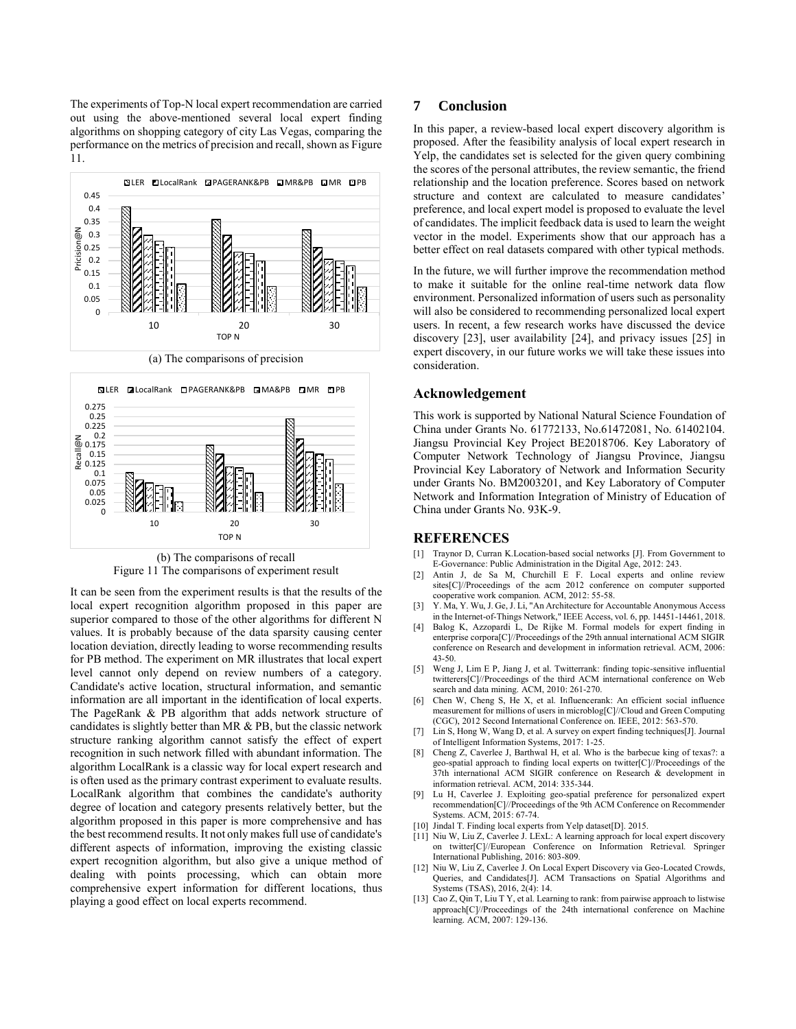The experiments of Top-N local expert recommendation are carried out using the above-mentioned several local expert finding algorithms on shopping category of city Las Vegas, comparing the performance on the metrics of precision and recall, shown as Figure 11.







(b) The comparisons of recall Figure 11 The comparisons of experiment result

It can be seen from the experiment results is that the results of the local expert recognition algorithm proposed in this paper are superior compared to those of the other algorithms for different N values. It is probably because of the data sparsity causing center location deviation, directly leading to worse recommending results for PB method. The experiment on MR illustrates that local expert level cannot only depend on review numbers of a category. Candidate's active location, structural information, and semantic information are all important in the identification of local experts. The PageRank & PB algorithm that adds network structure of candidates is slightly better than MR & PB, but the classic network structure ranking algorithm cannot satisfy the effect of expert recognition in such network filled with abundant information. The algorithm LocalRank is a classic way for local expert research and is often used as the primary contrast experiment to evaluate results. LocalRank algorithm that combines the candidate's authority degree of location and category presents relatively better, but the algorithm proposed in this paper is more comprehensive and has the best recommend results. It not only makes full use of candidate's different aspects of information, improving the existing classic expert recognition algorithm, but also give a unique method of dealing with points processing, which can obtain more comprehensive expert information for different locations, thus playing a good effect on local experts recommend.

#### **7 Conclusion**

In this paper, a review-based local expert discovery algorithm is proposed. After the feasibility analysis of local expert research in Yelp, the candidates set is selected for the given query combining the scores of the personal attributes, the review semantic, the friend relationship and the location preference. Scores based on network structure and context are calculated to measure candidates' preference, and local expert model is proposed to evaluate the level of candidates. The implicit feedback data is used to learn the weight vector in the model. Experiments show that our approach has a better effect on real datasets compared with other typical methods.

In the future, we will further improve the recommendation method to make it suitable for the online real-time network data flow environment. Personalized information of users such as personality will also be considered to recommending personalized local expert users. In recent, a few research works have discussed the device discovery [23], user availability [24], and privacy issues [25] in expert discovery, in our future works we will take these issues into consideration.

## **Acknowledgement**

This work is supported by National Natural Science Foundation of China under Grants No. 61772133, No.61472081, No. 61402104. Jiangsu Provincial Key Project BE2018706. Key Laboratory of Computer Network Technology of Jiangsu Province, Jiangsu Provincial Key Laboratory of Network and Information Security under Grants No. BM2003201, and Key Laboratory of Computer Network and Information Integration of Ministry of Education of China under Grants No. 93K-9.

#### **REFERENCES**

- [1] Traynor D, Curran K.Location-based social networks [J]. From Government to E-Governance: Public Administration in the Digital Age, 2012: 243.
- [2] Antin J, de Sa M, Churchill E F. Local experts and online review sites[C]//Proceedings of the acm 2012 conference on computer supported cooperative work companion. ACM, 2012: 55-58.
- [3] Y. Ma, Y. Wu, J. Ge, J. Li, "An Architecture for Accountable Anonymous Access in the Internet-of-Things Network," IEEE Access, vol. 6, pp. 14451-14461, 2018.
- [4] Balog K, Azzopardi L, De Rijke M. Formal models for expert finding in enterprise corpora[C]//Proceedings of the 29th annual international ACM SIGIR conference on Research and development in information retrieval. ACM, 2006: 43-50.
- [5] Weng J, Lim E P, Jiang J, et al. Twitterrank: finding topic-sensitive influential twitterers[C]//Proceedings of the third ACM international conference on Web search and data mining. ACM, 2010: 261-270.
- [6] Chen W, Cheng S, He X, et al. Influencerank: An efficient social influence measurement for millions of users in microblog[C]//Cloud and Green Computing (CGC), 2012 Second International Conference on. IEEE, 2012: 563-570.
- [7] Lin S, Hong W, Wang D, et al. A survey on expert finding techniques[J]. Journal of Intelligent Information Systems, 2017: 1-25.
- [8] Cheng Z, Caverlee J, Barthwal H, et al. Who is the barbecue king of texas?: a geo-spatial approach to finding local experts on twitter[C]//Proceedings of the 37th international ACM SIGIR conference on Research & development in information retrieval. ACM, 2014: 335-344.
- [9] Lu H, Caverlee J. Exploiting geo-spatial preference for personalized expert recommendation[C]//Proceedings of the 9th ACM Conference on Recommender Systems. ACM, 2015: 67-74.
- [10] Jindal T. Finding local experts from Yelp dataset[D]. 2015.
- [11] Niu W, Liu Z, Caverlee J. LExL: A learning approach for local expert discovery on twitter[C]//European Conference on Information Retrieval. Springer International Publishing, 2016: 803-809.
- [12] Niu W, Liu Z, Caverlee J. On Local Expert Discovery via Geo-Located Crowds, Queries, and Candidates[J]. ACM Transactions on Spatial Algorithms and Systems (TSAS), 2016, 2(4): 14.
- [13] Cao Z, Qin T, Liu T Y, et al. Learning to rank: from pairwise approach to listwise approach[C]//Proceedings of the 24th international conference on Machine learning. ACM, 2007: 129-136.